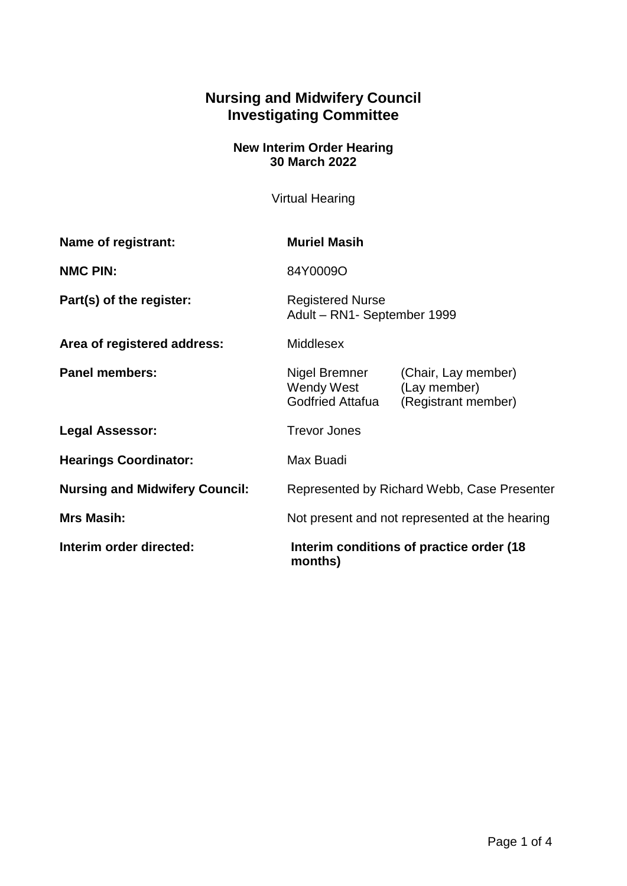## **Nursing and Midwifery Council Investigating Committee**

## **New Interim Order Hearing 30 March 2022**

Virtual Hearing

| Name of registrant:                   | <b>Muriel Masih</b>                                    |                                                            |
|---------------------------------------|--------------------------------------------------------|------------------------------------------------------------|
| <b>NMC PIN:</b>                       | 84Y0009O                                               |                                                            |
| Part(s) of the register:              | <b>Registered Nurse</b><br>Adult - RN1- September 1999 |                                                            |
| Area of registered address:           | <b>Middlesex</b>                                       |                                                            |
| <b>Panel members:</b>                 | Nigel Bremner<br>Wendy West<br><b>Godfried Attafua</b> | (Chair, Lay member)<br>(Lay member)<br>(Registrant member) |
| <b>Legal Assessor:</b>                | <b>Trevor Jones</b>                                    |                                                            |
| <b>Hearings Coordinator:</b>          | Max Buadi                                              |                                                            |
| <b>Nursing and Midwifery Council:</b> | Represented by Richard Webb, Case Presenter            |                                                            |
| <b>Mrs Masih:</b>                     | Not present and not represented at the hearing         |                                                            |
| Interim order directed:               | Interim conditions of practice order (18)<br>months)   |                                                            |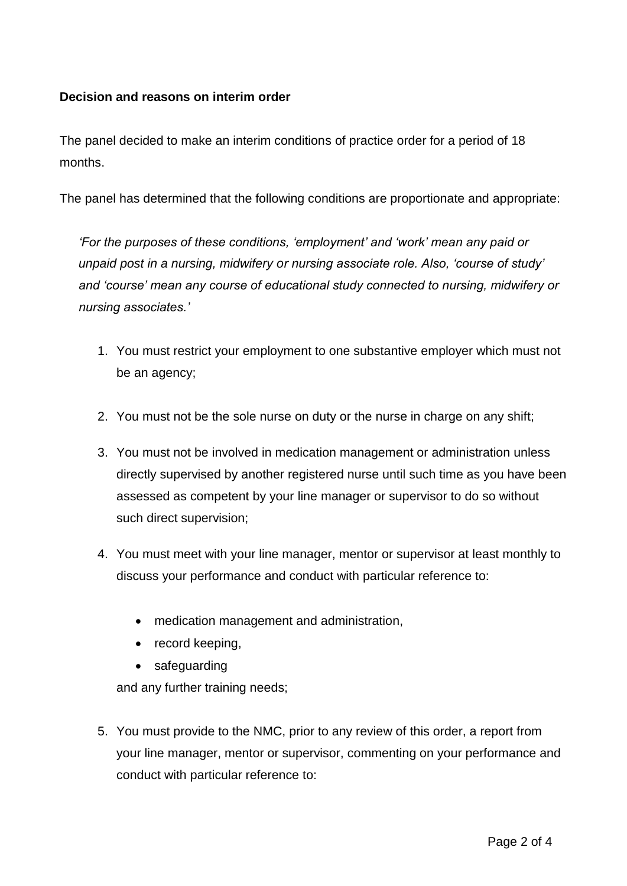## **Decision and reasons on interim order**

The panel decided to make an interim conditions of practice order for a period of 18 months.

The panel has determined that the following conditions are proportionate and appropriate:

*'For the purposes of these conditions, 'employment' and 'work' mean any paid or unpaid post in a nursing, midwifery or nursing associate role. Also, 'course of study' and 'course' mean any course of educational study connected to nursing, midwifery or nursing associates.'*

- 1. You must restrict your employment to one substantive employer which must not be an agency;
- 2. You must not be the sole nurse on duty or the nurse in charge on any shift;
- 3. You must not be involved in medication management or administration unless directly supervised by another registered nurse until such time as you have been assessed as competent by your line manager or supervisor to do so without such direct supervision;
- 4. You must meet with your line manager, mentor or supervisor at least monthly to discuss your performance and conduct with particular reference to:
	- medication management and administration,
	- record keeping,
	- safeguarding

and any further training needs;

5. You must provide to the NMC, prior to any review of this order, a report from your line manager, mentor or supervisor, commenting on your performance and conduct with particular reference to: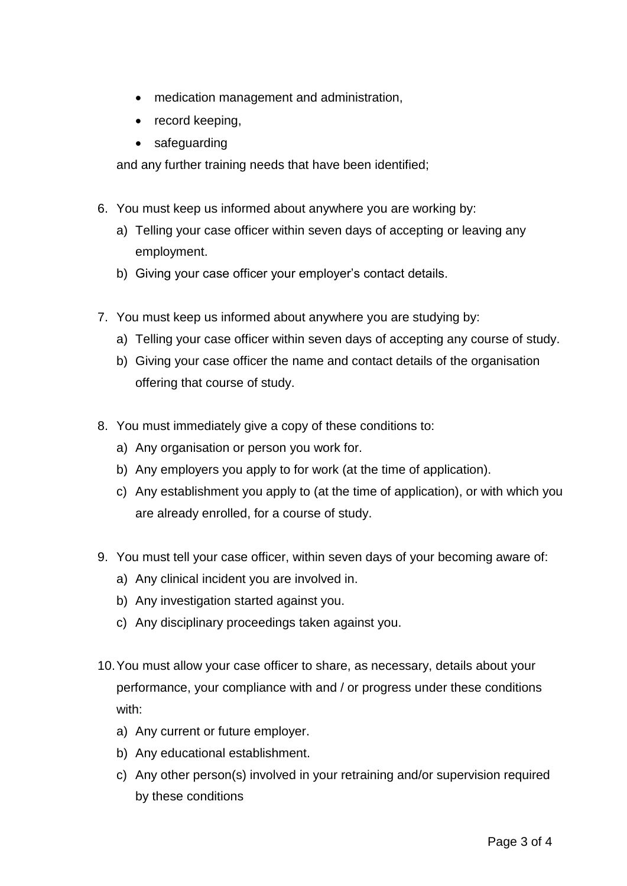- medication management and administration,
- record keeping,
- safeguarding

and any further training needs that have been identified;

- 6. You must keep us informed about anywhere you are working by:
	- a) Telling your case officer within seven days of accepting or leaving any employment.
	- b) Giving your case officer your employer's contact details.
- 7. You must keep us informed about anywhere you are studying by:
	- a) Telling your case officer within seven days of accepting any course of study.
	- b) Giving your case officer the name and contact details of the organisation offering that course of study.
- 8. You must immediately give a copy of these conditions to:
	- a) Any organisation or person you work for.
	- b) Any employers you apply to for work (at the time of application).
	- c) Any establishment you apply to (at the time of application), or with which you are already enrolled, for a course of study.
- 9. You must tell your case officer, within seven days of your becoming aware of:
	- a) Any clinical incident you are involved in.
	- b) Any investigation started against you.
	- c) Any disciplinary proceedings taken against you.
- 10.You must allow your case officer to share, as necessary, details about your performance, your compliance with and / or progress under these conditions with:
	- a) Any current or future employer.
	- b) Any educational establishment.
	- c) Any other person(s) involved in your retraining and/or supervision required by these conditions